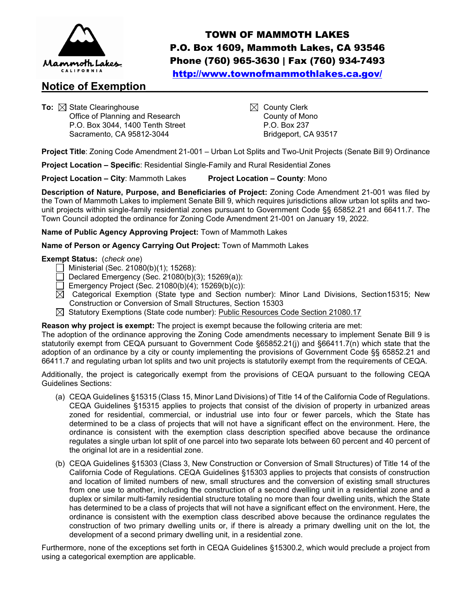

# **Notice of Exemption\_\_\_\_\_\_\_\_\_\_\_\_\_\_\_\_\_\_\_\_\_\_\_\_\_\_\_\_\_\_\_\_\_\_\_\_\_\_\_\_\_\_\_\_\_\_\_**

To: ⊠ State Clearinghouse<br>Office of Planning and Research County of Mono Office of Planning and Research P.O. Box 3044, 1400 Tenth Street P.O. Box 237 Sacramento, CA 95812-3044 Bridgeport, CA 93517

TOWN OF MAMMOTH LAKES P.O. Box 1609, Mammoth Lakes, CA 93546 Phone (760) 965-3630 | Fax (760) 934-7493 <http://www.townofmammothlakes.ca.gov/>

**Project Title**: Zoning Code Amendment 21-001 – Urban Lot Splits and Two-Unit Projects (Senate Bill 9) Ordinance

**Project Location – Specific**: Residential Single-Family and Rural Residential Zones

**Project Location – City**: Mammoth Lakes **Project Location – County**: Mono

**Description of Nature, Purpose, and Beneficiaries of Project:** Zoning Code Amendment 21-001 was filed by the Town of Mammoth Lakes to implement Senate Bill 9, which requires jurisdictions allow urban lot splits and twounit projects within single-family residential zones pursuant to Government Code §§ 65852.21 and 66411.7. The Town Council adopted the ordinance for Zoning Code Amendment 21-001 on January 19, 2022.

### **Name of Public Agency Approving Project:** Town of Mammoth Lakes

**Name of Person or Agency Carrying Out Project:** Town of Mammoth Lakes

### **Exempt Status:** (*check one*)

- $\overline{\phantom{a}}$  Ministerial (Sec. 21080(b)(1); 15268):
- $\Box$  Declared Emergency (Sec. 21080(b)(3); 15269(a)):
- $\Box$  Emergency Project (Sec. 21080(b)(4); 15269(b)(c)):
- $\boxtimes$  Categorical Exemption (State type and Section number): Minor Land Divisions, Section15315; New Construction or Conversion of Small Structures, Section 15303
- $\boxtimes$  Statutory Exemptions (State code number): Public Resources Code Section 21080.17

## **Reason why project is exempt:** The project is exempt because the following criteria are met:

The adoption of the ordinance approving the Zoning Code amendments necessary to implement Senate Bill 9 is statutorily exempt from CEQA pursuant to Government Code §65852.21(j) and §66411.7(n) which state that the adoption of an ordinance by a city or county implementing the provisions of Government Code §§ 65852.21 and 66411.7 and regulating urban lot splits and two unit projects is statutorily exempt from the requirements of CEQA.

Additionally, the project is categorically exempt from the provisions of CEQA pursuant to the following CEQA Guidelines Sections:

- (a) CEQA Guidelines §15315 (Class 15, Minor Land Divisions) of Title 14 of the California Code of Regulations. CEQA Guidelines §15315 applies to projects that consist of the division of property in urbanized areas zoned for residential, commercial, or industrial use into four or fewer parcels, which the State has determined to be a class of projects that will not have a significant effect on the environment. Here, the ordinance is consistent with the exemption class description specified above because the ordinance regulates a single urban lot split of one parcel into two separate lots between 60 percent and 40 percent of the original lot are in a residential zone.
- (b) CEQA Guidelines §15303 (Class 3, New Construction or Conversion of Small Structures) of Title 14 of the California Code of Regulations. CEQA Guidelines §15303 applies to projects that consists of construction and location of limited numbers of new, small structures and the conversion of existing small structures from one use to another, including the construction of a second dwelling unit in a residential zone and a duplex or similar multi-family residential structure totaling no more than four dwelling units, which the State has determined to be a class of projects that will not have a significant effect on the environment. Here, the ordinance is consistent with the exemption class described above because the ordinance regulates the construction of two primary dwelling units or, if there is already a primary dwelling unit on the lot, the development of a second primary dwelling unit, in a residential zone.

Furthermore, none of the exceptions set forth in CEQA Guidelines §15300.2, which would preclude a project from using a categorical exemption are applicable.